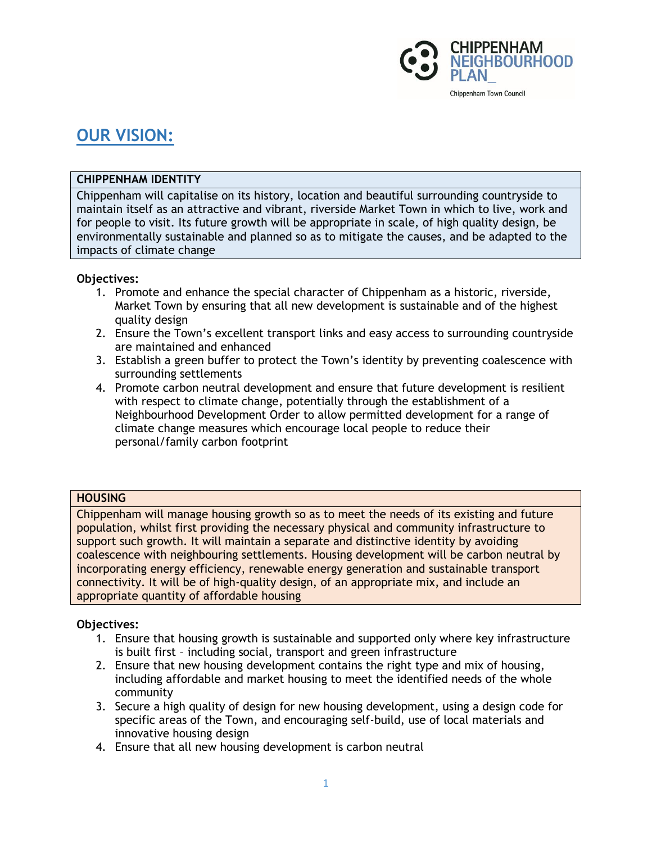

# **OUR VISION:**

# **CHIPPENHAM IDENTITY**

Chippenham will capitalise on its history, location and beautiful surrounding countryside to maintain itself as an attractive and vibrant, riverside Market Town in which to live, work and for people to visit. Its future growth will be appropriate in scale, of high quality design, be environmentally sustainable and planned so as to mitigate the causes, and be adapted to the impacts of climate change

# **Objectives:**

- 1. Promote and enhance the special character of Chippenham as a historic, riverside, Market Town by ensuring that all new development is sustainable and of the highest quality design
- 2. Ensure the Town's excellent transport links and easy access to surrounding countryside are maintained and enhanced
- 3. Establish a green buffer to protect the Town's identity by preventing coalescence with surrounding settlements
- 4. Promote carbon neutral development and ensure that future development is resilient with respect to climate change, potentially through the establishment of a Neighbourhood Development Order to allow permitted development for a range of climate change measures which encourage local people to reduce their personal/family carbon footprint

# **HOUSING**

Chippenham will manage housing growth so as to meet the needs of its existing and future population, whilst first providing the necessary physical and community infrastructure to support such growth. It will maintain a separate and distinctive identity by avoiding coalescence with neighbouring settlements. Housing development will be carbon neutral by incorporating energy efficiency, renewable energy generation and sustainable transport connectivity. It will be of high-quality design, of an appropriate mix, and include an appropriate quantity of affordable housing

- 1. Ensure that housing growth is sustainable and supported only where key infrastructure is built first – including social, transport and green infrastructure
- 2. Ensure that new housing development contains the right type and mix of housing, including affordable and market housing to meet the identified needs of the whole community
- 3. Secure a high quality of design for new housing development, using a design code for specific areas of the Town, and encouraging self-build, use of local materials and innovative housing design
- 4. Ensure that all new housing development is carbon neutral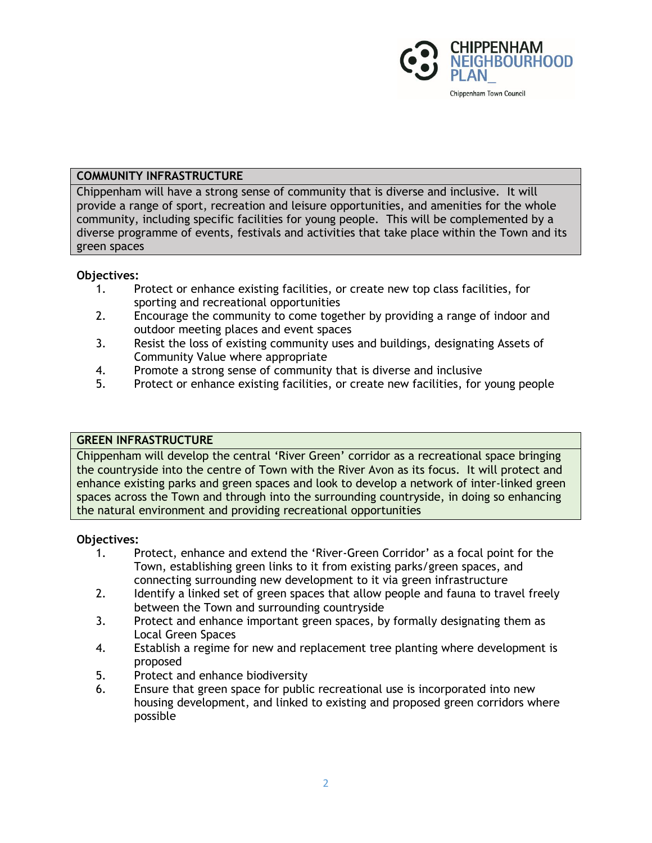

# **COMMUNITY INFRASTRUCTURE**

Chippenham will have a strong sense of community that is diverse and inclusive. It will provide a range of sport, recreation and leisure opportunities, and amenities for the whole community, including specific facilities for young people. This will be complemented by a diverse programme of events, festivals and activities that take place within the Town and its green spaces

# **Objectives:**

- 1. Protect or enhance existing facilities, or create new top class facilities, for sporting and recreational opportunities
- 2. Encourage the community to come together by providing a range of indoor and outdoor meeting places and event spaces
- 3. Resist the loss of existing community uses and buildings, designating Assets of Community Value where appropriate
- 4. Promote a strong sense of community that is diverse and inclusive
- 5. Protect or enhance existing facilities, or create new facilities, for young people

#### **GREEN INFRASTRUCTURE**

Chippenham will develop the central 'River Green' corridor as a recreational space bringing the countryside into the centre of Town with the River Avon as its focus. It will protect and enhance existing parks and green spaces and look to develop a network of inter-linked green spaces across the Town and through into the surrounding countryside, in doing so enhancing the natural environment and providing recreational opportunities

- 1. Protect, enhance and extend the 'River-Green Corridor' as a focal point for the Town, establishing green links to it from existing parks/green spaces, and connecting surrounding new development to it via green infrastructure
- 2. Identify a linked set of green spaces that allow people and fauna to travel freely between the Town and surrounding countryside
- 3. Protect and enhance important green spaces, by formally designating them as Local Green Spaces
- 4. Establish a regime for new and replacement tree planting where development is proposed
- 5. Protect and enhance biodiversity
- 6. Ensure that green space for public recreational use is incorporated into new housing development, and linked to existing and proposed green corridors where possible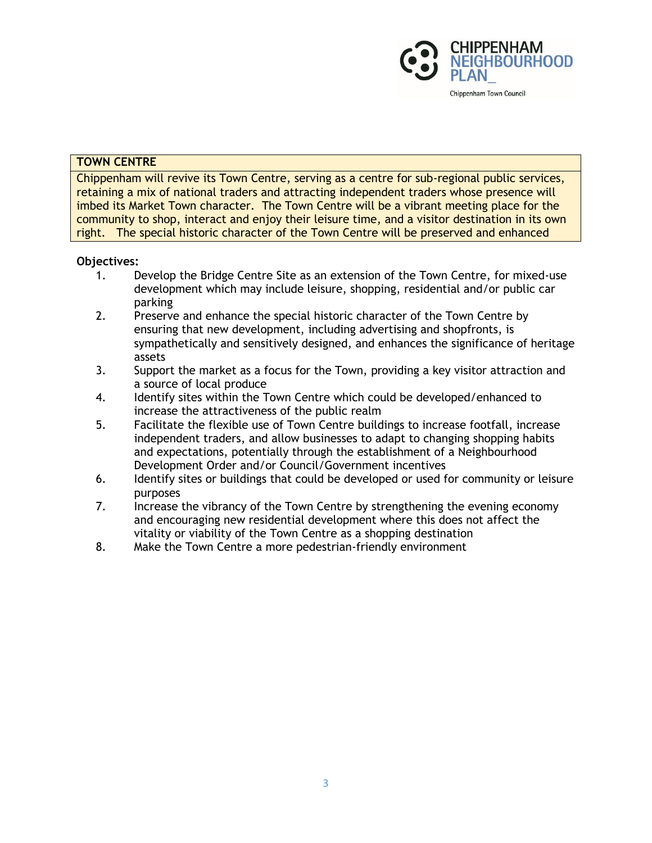

### **TOWN CENTRE**

Chippenham will revive its Town Centre, serving as a centre for sub-regional public services, retaining a mix of national traders and attracting independent traders whose presence will imbed its Market Town character. The Town Centre will be a vibrant meeting place for the community to shop, interact and enjoy their leisure time, and a visitor destination in its own right. The special historic character of the Town Centre will be preserved and enhanced

- 1. Develop the Bridge Centre Site as an extension of the Town Centre, for mixed-use development which may include leisure, shopping, residential and/or public car parking
- 2. Preserve and enhance the special historic character of the Town Centre by ensuring that new development, including advertising and shopfronts, is sympathetically and sensitively designed, and enhances the significance of heritage assets
- 3. Support the market as a focus for the Town, providing a key visitor attraction and a source of local produce
- 4. Identify sites within the Town Centre which could be developed/enhanced to increase the attractiveness of the public realm
- 5. Facilitate the flexible use of Town Centre buildings to increase footfall, increase independent traders, and allow businesses to adapt to changing shopping habits and expectations, potentially through the establishment of a Neighbourhood Development Order and/or Council/Government incentives
- 6. Identify sites or buildings that could be developed or used for community or leisure purposes
- 7. Increase the vibrancy of the Town Centre by strengthening the evening economy and encouraging new residential development where this does not affect the vitality or viability of the Town Centre as a shopping destination
- 8. Make the Town Centre a more pedestrian-friendly environment